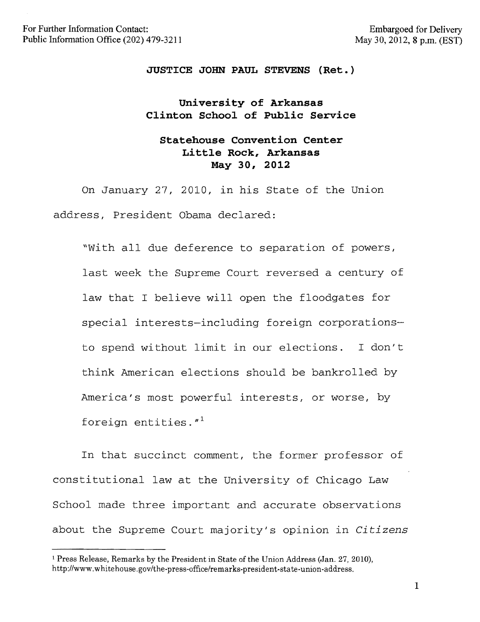### **JUSTICE JOHN PAUL STEVENS (Ret.)**

# **University of Arkansas Clinton School of Public Service**

# **Statehouse Convention Center Little Rock, Arkansas May 30, 2012**

On January 27, 2010, in his State of the Union address, President Obama declared:

"with all due deference to separation of powers, last week the Supreme Court reversed a century of law that I believe will open the floodgates for special interests-including foreign corporationsto spend without limit in our elections. I don't think American elections should be bankrolled by America's most powerful interests, or worse, by foreign entities."!

In that succinct comment, the former professor of constitutional law at the University of Chicago Law School made three important and accurate observations about the Supreme Court majority's opinion in *Citizens* 

<sup>1</sup>Press Release, Remarks by the President in State of the Union Address (Jan. 27, 2010), http://www.whitehouse.gov/the-press-office/remarks-president-state-union-address.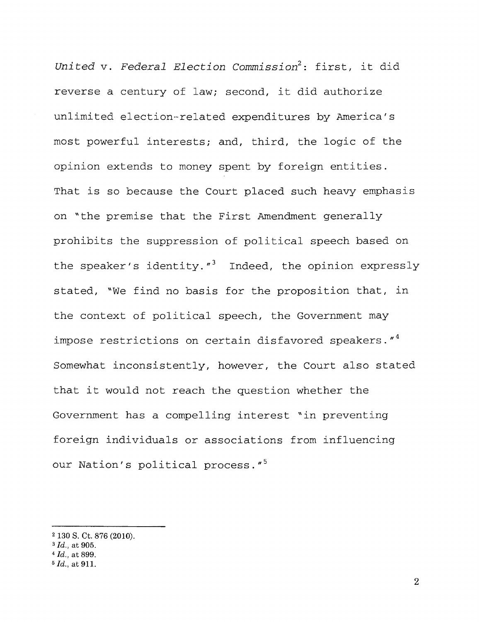*United* v. *Federal Election Commission2 :* first, it did reverse a century of law; second, it did authorize unlimited election-related expenditures by America's most powerful interests; and, third, the logic of the opinion extends to money spent by foreign entities. That is so because the Court placed such heavy emphasis on "the premise that the First Amendment generally prohibits the suppression of political speech based on the speaker's identity."<sup>3</sup> Indeed, the opinion expressly stated, "We find no basis for the proposition that, in the context of political speech, the Government may impose restrictions on certain disfavored speakers. $4^4$ Somewhat inconsistently, however, the Court also stated that it would not reach the question whether the Government has a compelling interest ~in preventing foreign individuals or associations from influencing our Nation's political process."<sup>5</sup>

<sup>2 130</sup> S. Ct. 876 (2010).

<sup>3</sup> *[d.,* at 905.

*<sup>4 [</sup>d.,* at 899.

*<sup>5 [</sup>d.,* at 911.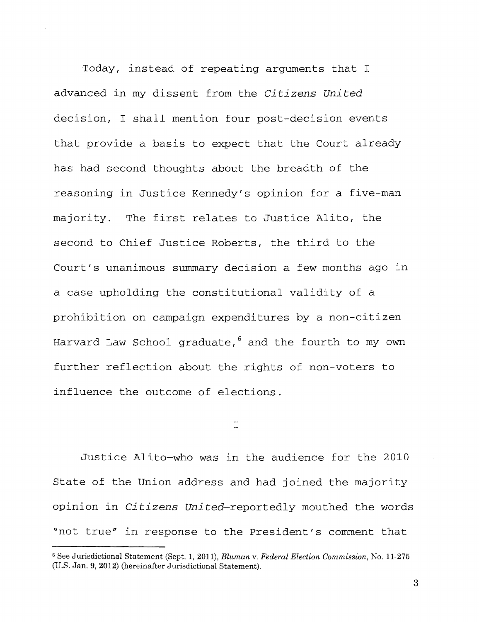Today, instead of repeating arguments that <sup>I</sup> advanced in my dissent from the *Citizens United*  decision, I shall mention four post-decision events that provide a basis to expect that the Court already has had second thoughts about the breadth of the reasoning in Justice Kennedy's opinion for a five-man majority. The first relates to Justice Alito, the second to Chief Justice Roberts, the third to the Court's unanimous summary decision a few months ago in a case upholding the constitutional validity of a prohibition on campaign expenditures by a non-citizen Harvard Law School graduate,<sup>6</sup> and the fourth to my own further reflection about the rights of non-voters to influence the outcome of elections.

I

Justice Alito-who was in the audience for the 2010 State of the Union address and had joined the majority opinion in *Citizens United-reportedly* mouthed the words "not true" In response to the President's comment that

<sup>6</sup> See Jurisdictional Statement (Sept. 1,2011), *Bluman* v. *Federal Election Commission,* No. 11-275 (U.S. Jan. 9, 2012) (hereinafter Jurisdictional Statement).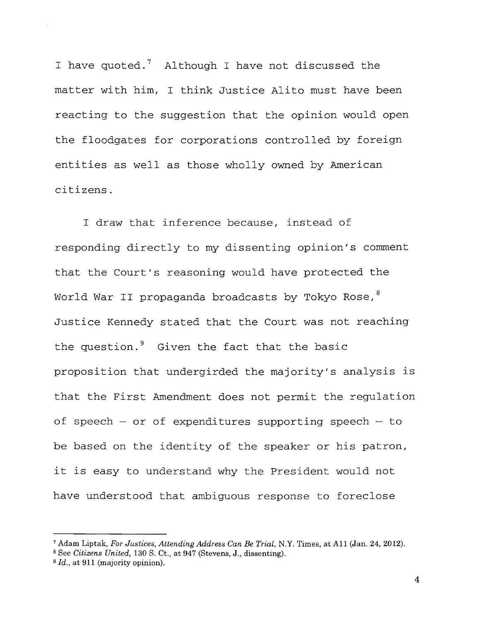I have quoted.<sup>7</sup> Although I have not discussed the matter with him, I think Justice Alito must have been reacting to the suggestion that the opinion would open the floodgates for corporations controlled by foreign entities as well as those wholly owned by American citizens.

I draw that inference because, instead of responding directly to my dissenting opinion's comment that the Court's reasoning would have protected the World War II propaganda broadcasts by Tokyo Rose,<sup>8</sup> Justice Kennedy stated that the Court was not reaching the question.<sup>9</sup> Given the fact that the basic proposition that undergirded the majority's analysis is that the First Amendment does not permit the regulation of speech – or of expenditures supporting speech – to be based on the identity of the speaker or his patron, it is easy to understand why the President would not have understood that ambiguous response to foreclose

<sup>7</sup> Adam Liptak, *For Justices, Attending Address Can Be Trial,* N.Y. Times, at All (Jan. 24, 2012).

<sup>8</sup> See *Citizens United,* 130 S. Ct., at 947 (Stevens, J., dissenting).

<sup>9</sup> *Id.,* at 911 (majority opinion).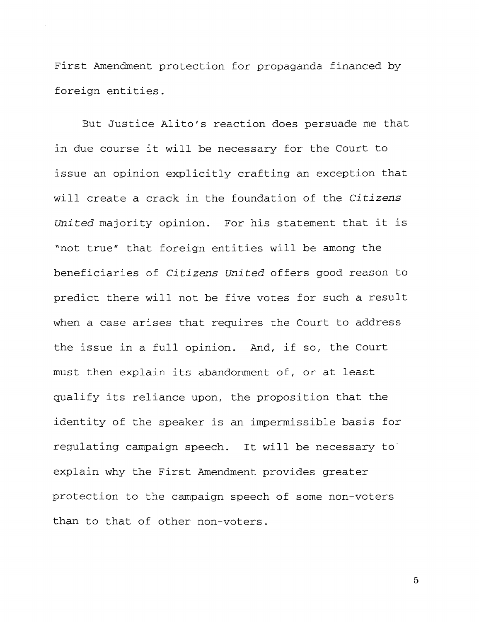First Amendment protection for propaganda financed by foreign entities.

But Justice Alito's reaction does persuade me that in due course it will be necessary for the Court to issue an opinion explicitly crafting an exception that will create a crack ln the foundation of the *Citizens United* majority opinion. For his statement that it is "not true" that foreign entities will be among the beneficiaries of *Citizens united* offers good reason to predict there will not be five votes for such a result when a case arises that requires the Court to address the issue in a full opinion. And, if so, the Court must then explain its abandonment of, or at least qualify its reliance upon, the proposition that the identity of the speaker is an impermissible basis for regulating campaign speech. It will be necessary to' explain why the First Amendment provides greater protection to the campaign speech of some non-voters than to that of other non-voters.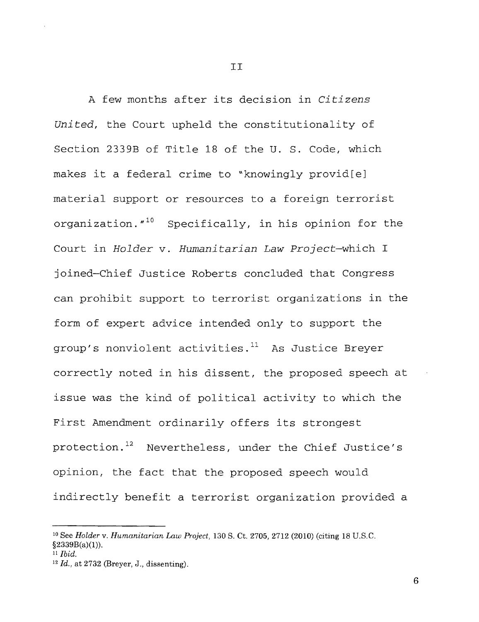A few months after its decision in *Citizens United,* the Court upheld the constitutionality of Section 2339B of Title 18 of the **U.** S. Code, which makes it a federal crime to "knowingly provid[eJ material support or resources to a foreign terrorist organization."<sup>10</sup> Specifically, in his opinion for the Court in *Holder* v. *Humanitarian Law* Project-which I joined-Chief Justice Roberts concluded that Congress can prohibit support to terrorist organizations in the form of expert advice intended only to support the group's nonviolent activities. $l^1$  As Justice Breyer correctly noted in his dissent, the proposed speech at issue was the kind of political activity to which the First Amendment ordinarily offers its strongest protection.<sup>12</sup> Nevertheless, under the Chief Justice's opinion, the fact that the proposed speech would indirectly benefit a terrorist organization provided a

6

II

<sup>10</sup> See *Holder* v. *Humanitarian Law Project,* 130 S. Ct. 2705, 2712 (2010) (citing 18 U.S.C.  $§2339B(a)(1)).$ 

<sup>11</sup> *Ibid.* 

*<sup>12</sup> Id.,* at 2732 (Breyer, J., dissenting).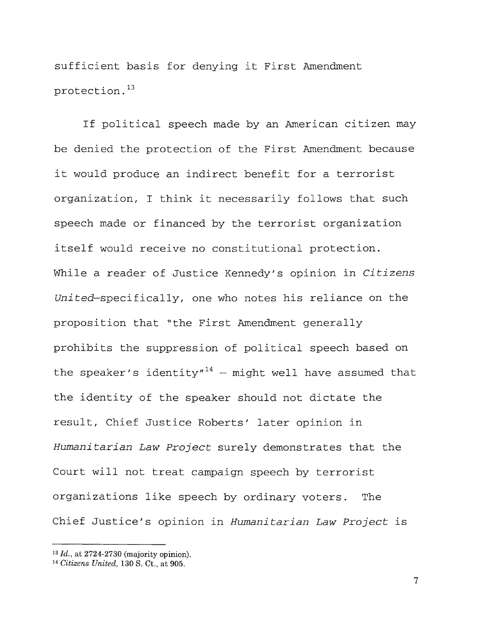sufficient basis for denying it First Amendment protection. 13

If political speech made by an American citizen may be denied the protection of the First Amendment because it would produce an indirect benefit for a terrorist organization, I think it necessarily follows that such speech made or financed by the terrorist organization itself would receive no constitutional protection. While a reader of Justice Kennedy's opinion in *Citizens United-specifically,* one who notes his reliance on the proposition that "the First Amendment generally prohibits the suppression of political speech based on the speaker's identity"<sup>14</sup> - might well have assumed that the identity of the speaker should not dictate the result, Chief Justice Roberts' later opinion in *Humanitarian Law Project* surely demonstrates that the Court will not treat campaign speech by terrorist organizations like speech by ordinary voters. The Chief Justice's opinion in *Humanitarian Law Project* is

*<sup>13 [</sup>d.,* at 2724-2730 (majority opinion).

<sup>14</sup>*Citizens United,* **130** S. Ct., at 905.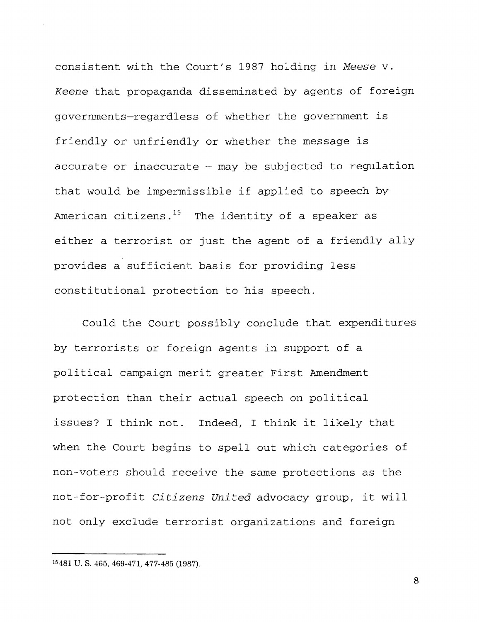consistent with the Court's 1987 holding in *Meese* v. *Keene* that propaganda disseminated by agents of foreign governments-regardless of whether the government is friendly or unfriendly or whether the message is accurate or inaccurate  $-$  may be subjected to regulation that would be impermissible if applied to speech by American citizens. $15$  The identity of a speaker as either a terrorist or just the agent of a friendly ally provides a sufficient basis for providing less constitutional protection to his speech.

Could the Court possibly conclude that expenditures by terrorists or foreign agents in support of a political campaign merit greater First Amendment protection than their actual speech on political issues? I think not. Indeed, I think it likely that when the Court begins to spell out which categories of non-voters should receive the same protections as the not-for-profit *Citizens United* advocacy group, it will not only exclude terrorist organizations and foreign

<sup>15</sup> 481 U. S. 465, 469-471, 477-485 (1987).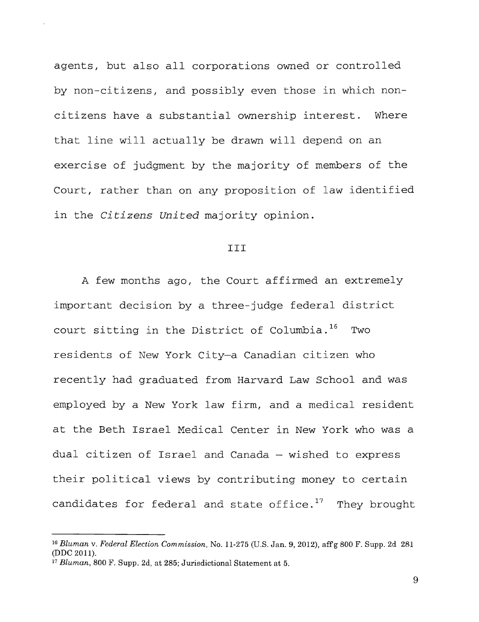agents, but also all corporations owned or controlled by non-citizens, and possibly even those in which noncitizens have a substantial ownership interest. Where that line will actually be drawn will depend on an exercise of judgment by the majority of members of the Court, rather than on any proposition of law identified in the *Citizens United* majority opinion.

#### III

A few months ago, the Court affirmed an extremely important decision by a three-judge federal district court sitting in the District of Columbia.<sup>16</sup> Two residents of New York City-a Canadian citizen who recently had graduated from Harvard Law School and was employed by a New York law firm, and a medical resident at the Beth Israel Medical Center in New York who was a dual citizen of Israel and Canada - wished to express their political views by contributing money to certain candidates for federal and state office.<sup>17</sup> They brought

*<sup>16</sup> Bluman* v. *Federal Election Commission,* No. 11-275 (U.s. Jan. 9, 2012), affg 800 F. Supp. 2d 281 (DDC 2011).

<sup>17</sup> *Bluman,* 800 F. Supp. 2d, at 285; Jurisdictional Statement at 5.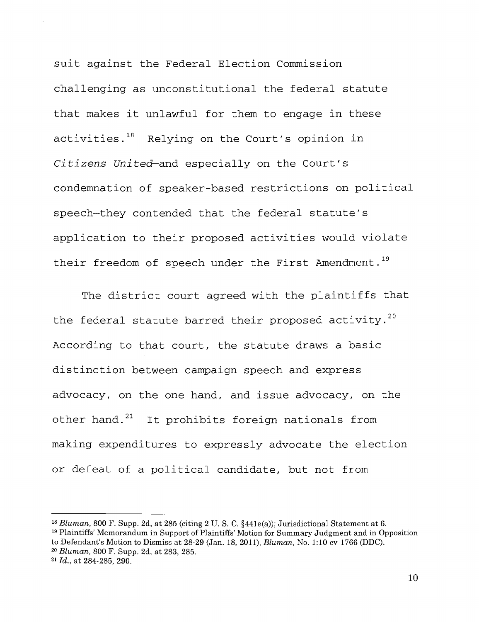suit against the Federal Election Commission challenging as unconstitutional the federal statute that makes it unlawful for them to engage in these activities.<sup>18</sup> Relying on the Court's opinion in *Citizens United-and* especially on the Court's condemnation of speaker-based restrictions on political speech-they contended that the federal statute's application to their proposed activities would violate their freedom of speech under the First Amendment.<sup>19</sup>

The district court agreed with the plaintiffs that the federal statute barred their proposed activity.<sup>20</sup> According to that court, the statute draws a basic distinction between campaign speech and express advocacy, on the one hand, and issue advocacy, on the other hand.<sup>21</sup> It prohibits foreign nationals from making expenditures to expressly advocate the election or defeat of a political candidate, but not from

<sup>&</sup>lt;sup>18</sup> *Bluman*, 800 F. Supp. 2d, at 285 (citing 2 U. S. C. §441e(a)); Jurisdictional Statement at 6. 19 Plaintiffs' Memorandum in Support of Plaintiffs' Motion for Summary Judgment and in Opposition to Defendant's Motion to Dismiss at 28-29 (Jan. 18, 2011), *Bluman,* No. 1:10-cv-1766 (DDC).

*<sup>20</sup> Bluman,* 800 F. Supp. 2d, at 283, 285.

*<sup>21 [</sup>d.,* at 284-285, 290.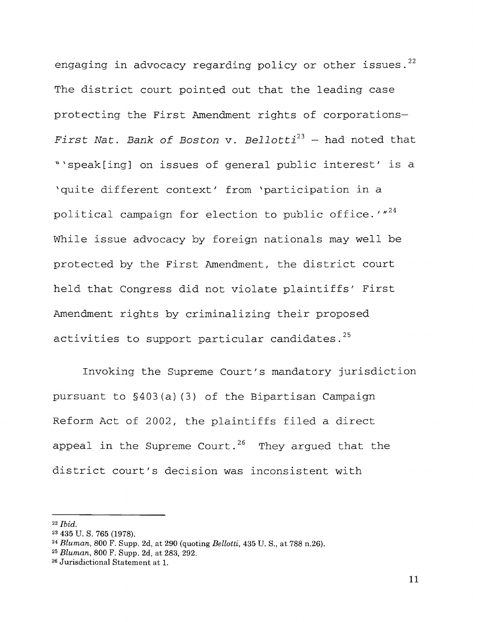engaging in advocacy regarding policy or other issues.<sup>22</sup> The district court pointed out that the leading case protecting the First Amendment rights of corporations-*First Nat. Bank of Boston* v. *Bellotti <sup>23</sup>*- had noted that "'speak[ing] on issues of general public interest' is a 'quite different context' from 'participation in a political campaign for election to public office.  $1^{24}$ While issue advocacy by foreign nationals may well be protected by the First Amendment, the district court held that Congress did not violate plaintiffs' First Amendment rights by criminalizing their proposed activities to support particular candidates.<sup>25</sup>

Invoking the Supreme Court's mandatory jurisdiction pursuant to §403(a) (3) of the Bipartisan Campaign Reform Act of 2002, the plaintiffs filed a direct appeal in the Supreme Court.<sup>26</sup> They argued that the district court's decision was inconsistent with

*<sup>22</sup> Ibid.* 

<sup>23 435</sup> U. S. 765 (1978).

*<sup>24</sup> Bluman,* 800 F. Supp. 2d, at 290 (quoting *Bellotti,* 435 U. S., at 788 n.26).

*<sup>25</sup> Bluman,* 800 F. Supp. 2d, at 283, 292.

<sup>26</sup> Jurisdictional Statement at 1.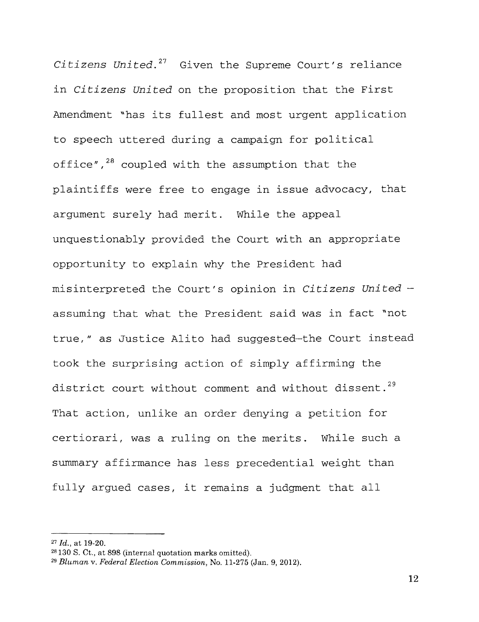*Citizens United.* 27 Given the Supreme Court's reliance in *Citizens United* on the proposition that the First Amendment "has its fullest and most urgent application to speech uttered during a campaign for political office",<sup>28</sup> coupled with the assumption that the plaintiffs were free to engage in issue advocacy, that argument surely had merit. While the appeal unquestionably provided the Court with an appropriate opportunity to explain why the President had misinterpreted the Court's opinion in *Citizens United*  assuming that what the President said was in fact "not true," as Justice Alito had suggested-the Court instead took the surprising action of simply affirming the district court without comment and without dissent.<sup>29</sup> That action, unlike an order denying a petition for certiorari, was a ruling on the merits. While such a summary affirmance has less precedential weight than fully argued cases, it remains a judgment that all

<sup>27</sup> *Id.,* at 19-20.

<sup>28</sup> 130 S. Ct., at 898 (internal quotation marks omitted).

*<sup>29</sup> Bluman* v. *Federal Election Commission,* No. 11·275 (Jan. 9, 2012).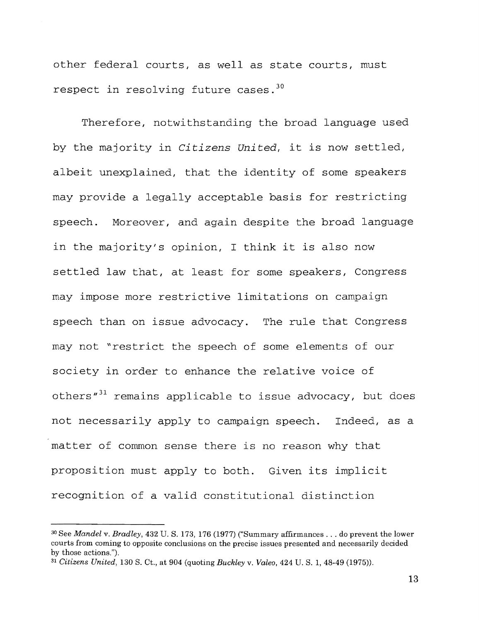other federal courts, as well as state courts, must respect in resolving future cases.  $30$ 

Therefore, notwithstanding the broad language used by the majority in *Citizens United,* it is now settled, albeit unexplained, that the identity of some speakers may provide a legally acceptable basis for restricting speech. Moreover, and again despite the broad language in the majority's opinion, I think it is also now settled law that, at least for some speakers, Congress may impose more restrictive limitations on campaign speech than on issue advocacy. The rule that Congress may not "restrict the speech of some elements of our society in order to enhance the relative voice of others<sup>"31</sup> remains applicable to issue advocacy, but does not necessarily apply to campaign speech. Indeed, as a matter of common sense there is no reason why that proposition must apply to both. Given its implicit recognition of a valid constitutional distinction

<sup>30</sup> See *Mandel* v. *Bradley,* 432 U. S. 173, 176 (1977) ("Summary affirmances ... do prevent the lower courts from coming to opposite conclusions on the precise issues presented and necessarily decided by those actions.").

<sup>31</sup> *Citizens United,* 130 S. Ct., at 904 (quoting *Buckley* v. *Valeo,* 424 U. S. 1, 48-49 (1975».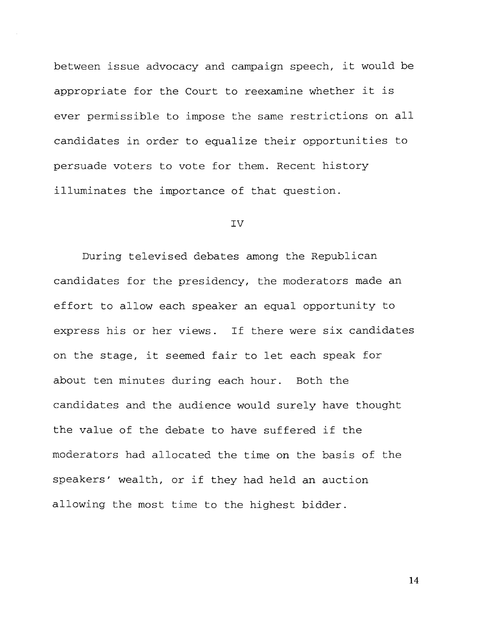between issue advocacy and campaign speech, it would be appropriate for the Court to reexamine whether it is ever permissible to impose the same restrictions on all candidates in order to equalize their opportunities to persuade voters to vote for them. Recent history illuminates the importance of that question.

#### IV

During televised debates among the Republican candidates for the presidency, the moderators made an effort to allow each speaker an equal opportunity to express his or her views. If there were six candidates on the stage, it seemed fair to let each speak for about ten minutes during each hour. Both the candidates and the audience would surely have thought the value of the debate to have suffered if the moderators had allocated the time on the basis of the speakers' wealth, or if they had held an auction allowing the most time to the highest bidder.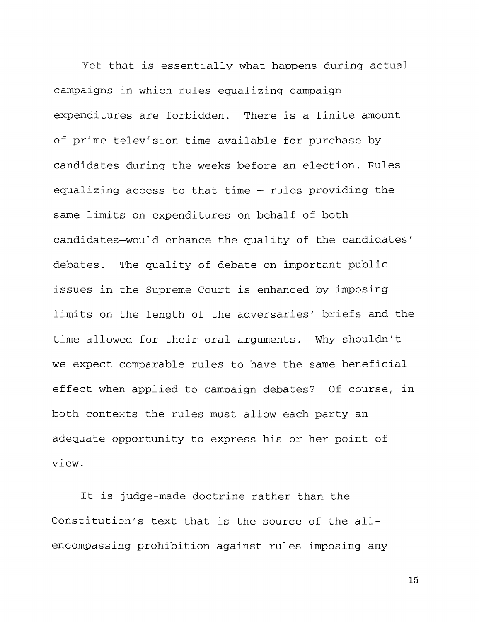Yet that is essentially what happens during actual campaigns in which rules equalizing campaign expenditures are forbidden. There is a finite amount of prime television time available for purchase by candidates during the weeks before an election. Rules equalizing access to that time  $-$  rules providing the same limits on expenditures on behalf of both candidates-would enhance the quality of the candidates' debates. The quality of debate on important public issues in the Supreme Court is enhanced by imposing limits on the length of the adversaries' briefs and the time allowed for their oral arguments. Why shouldn't we expect comparable rules to have the same beneficial effect when applied to campaign debates? Of course, in both contexts the rules must allow each party an adequate opportunity to express his or her point of vlew.

It is judge-made doctrine rather than the Constitution's text that is the source of the allencompassing prohibition against rules imposing any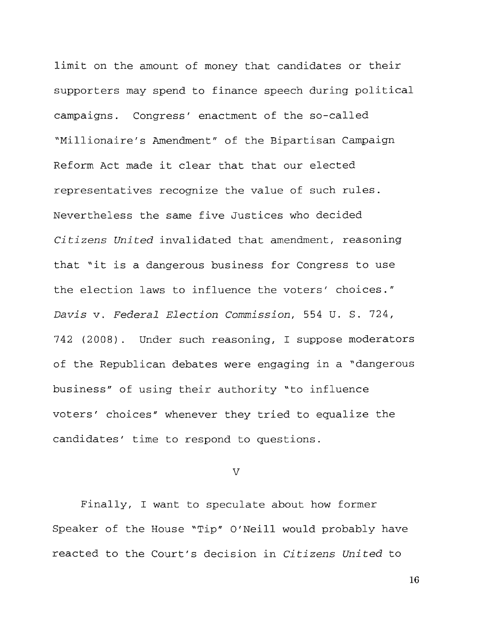limit on the amount of money that candidates or their supporters may spend to finance speech during political campaigns. Congress' enactment of the so-called "Millionaire's Amendment" of the Bipartisan Campaign Reform Act made it clear that that our elected representatives recognize the value of such rules. Nevertheless the same five Justices who decided *Citizens United* invalidated that amendment, reasoning that "it is a dangerous business for Congress to use the election laws to influence the voters' choices." *Davis* **v.** *Federal Election Commission,* 554 U. S. 724, 742 (2008). Under such reasoning, I suppose moderators of the Republican debates were engaging in a "dangerous business" of using their authority "to influence voters' *choices"* whenever they tried to equalize the candidates' time to respond to questions.

 $\overline{V}$ 

Finally, I want to speculate about how former Speaker of the House "Tip" O'Neill would probably have reacted to the Court's decision in *Citizens United* to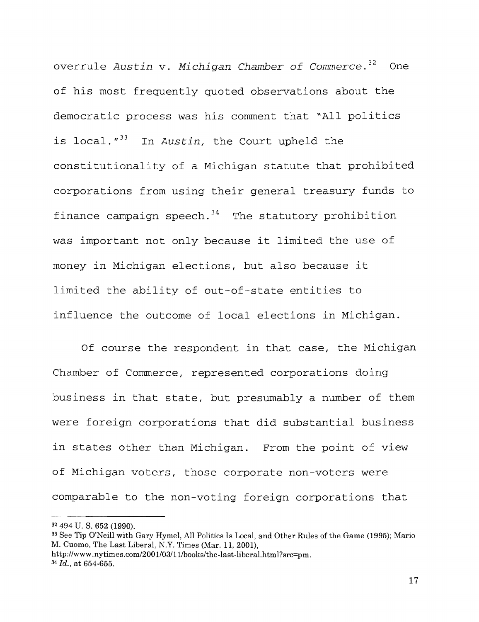overrule Austin v. Michigan Chamber of Commerce.  $32$  One of his most frequently quoted observations about the democratic process was his comment that "All politics is local."<sup>33</sup> In Austin, the Court upheld the constitutionality of a Michigan statute that prohibited corporations from using their general treasury funds to finance campaign speech. $34$  The statutory prohibition was important not only because it limited the use of money in Michigan elections, but also because it limited the ability of out-of-state entities to influence the outcome of local elections in Michigan.

Of course the respondent in that case, the Michigan Chamber of Commerce, represented corporations doing business in that state, but presumably a number of them were foreign corporations that did substantial business in states other than Michigan. From the point of view of Michigan voters, those corporate non-voters were comparable to the non-voting foreign corporations that

<sup>32 494</sup> U. S. 652 (1990).

<sup>33</sup> See Tip O'Neill with Gary Hymel, All Politics Is Local, and Other Rules of the Game (1995); Mario M. Cuomo, The Last Liberal, N.Y. Times (Mar. 11, 2001), http://www.nytimes.com/2001/03/11/books/the-last-liberal.html?src=pm.

<sup>34</sup>*Id.,* at 654-655.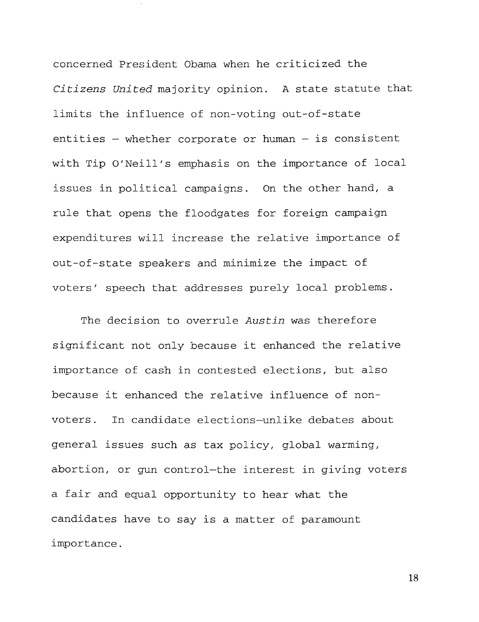concerned President Obama when he criticized the *Citizens United* majority opinion. A state statute that limits the influence of non-voting out-of-state entities  $-$  whether corporate or human  $-$  is consistent with Tip O'Neill's emphasis on the importance of local issues in political campaigns. On the other hand, a rule that opens the floodgates for foreign campaign expenditures will increase the relative importance of out-of-state speakers and minimize the impact of voters' speech that addresses purely local problems.

The decision to overrule *Austin* was therefore significant not only because it enhanced the relative importance of cash in contested elections, but also because it enhanced the relative influence of nonvoters. In candidate elections-unlike debates about general issues such as tax policy, global warming, abortion, or gun control-the interest in giving voters a fair and equal opportunity to hear what the candidates have to say is a matter of paramount importance.